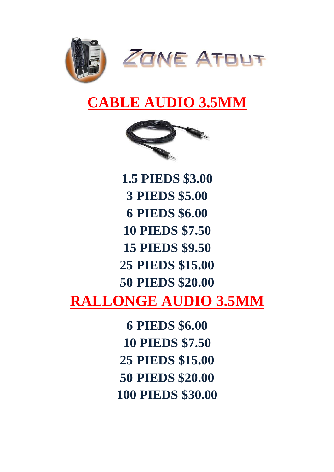

#### **CABLE AUDIO 3.5MM**



**1.5 PIEDS \$3.00 3 PIEDS \$5.00 6 PIEDS \$6.00 10 PIEDS \$7.50 15 PIEDS \$9.50 25 PIEDS \$15.00 50 PIEDS \$20.00 RALLONGE AUDIO 3.5MM**

> **6 PIEDS \$6.00 10 PIEDS \$7.50 25 PIEDS \$15.00 50 PIEDS \$20.00 100 PIEDS \$30.00**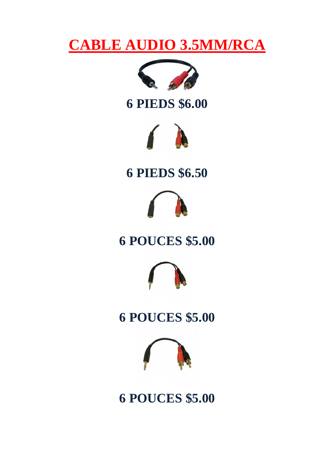#### **CABLE AUDIO 3.5MM/RCA**



#### **6 PIEDS \$6.00**



#### **6 PIEDS \$6.50**



#### **6 POUCES \$5.00**



#### **6 POUCES \$5.00**



**6 POUCES \$5.00**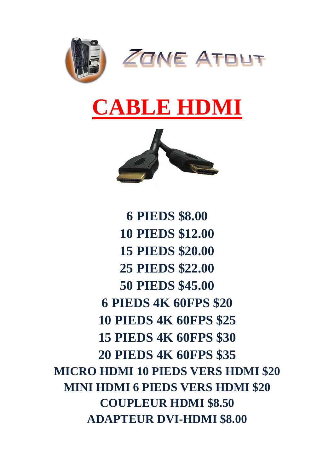

# **CABLE HDMI**



**6 PIEDS \$8.00 10 PIEDS \$12.00 15 PIEDS \$20.00 25 PIEDS \$22.00 50 PIEDS \$45.00 6 PIEDS 4K 60FPS \$20 10 PIEDS 4K 60FPS \$25 15 PIEDS 4K 60FPS \$30 20 PIEDS 4K 60FPS \$35 MICRO HDMI 10 PIEDS VERS HDMI \$20 MINI HDMI 6 PIEDS VERS HDMI \$20 COUPLEUR HDMI \$8.50 ADAPTEUR DVI-HDMI \$8.00**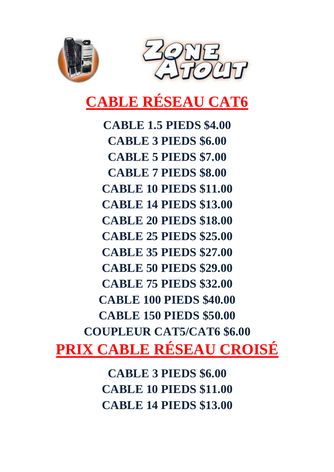



### **CABLE RÉSEAU CAT6**

**CABLE 1.5 PIEDS \$4.00 CABLE 3 PIEDS \$6.00 CABLE 5 PIEDS \$7.00 CABLE 7 PIEDS \$8.00 CABLE 10 PIEDS \$11.00 CABLE 14 PIEDS \$13.00 CABLE 20 PIEDS \$18.00 CABLE 25 PIEDS \$25.00 CABLE 35 PIEDS \$27.00 CABLE 50 PIEDS \$29.00 CABLE 75 PIEDS \$32.00 CABLE 100 PIEDS \$40.00 CABLE 150 PIEDS \$50.00 COUPLEUR CAT5/CAT6 \$6.00 PRIX CABLE RÉSEAU CROISÉ**

> **CABLE 3 PIEDS \$6.00 CABLE 10 PIEDS \$11.00 CABLE 14 PIEDS \$13.00**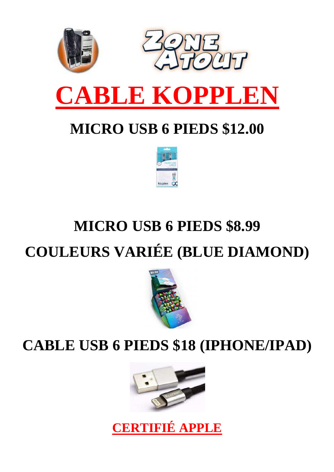

### **MICRO USB 6 PIEDS \$12.00**



## **MICRO USB 6 PIEDS \$8.99 COULEURS VARIÉE (BLUE DIAMOND)**



#### **CABLE USB 6 PIEDS \$18 (IPHONE/IPAD)**



**CERTIFIÉ APPLE**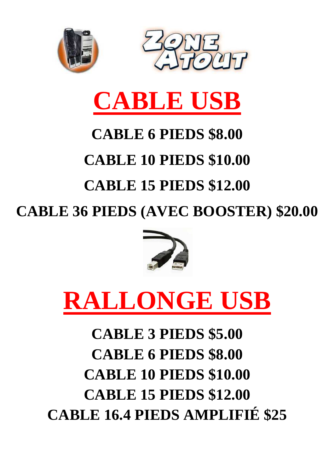



# **CABLE USB**

### **CABLE 6 PIEDS \$8.00**

## **CABLE 10 PIEDS \$10.00**

## **CABLE 15 PIEDS \$12.00**

**CABLE 36 PIEDS (AVEC BOOSTER) \$20.00** 



# **RALLONGE USB**

## **CABLE 3 PIEDS \$5.00 CABLE 6 PIEDS \$8.00 CABLE 10 PIEDS \$10.00 CABLE 15 PIEDS \$12.00 CABLE 16.4 PIEDS AMPLIFIÉ \$25**